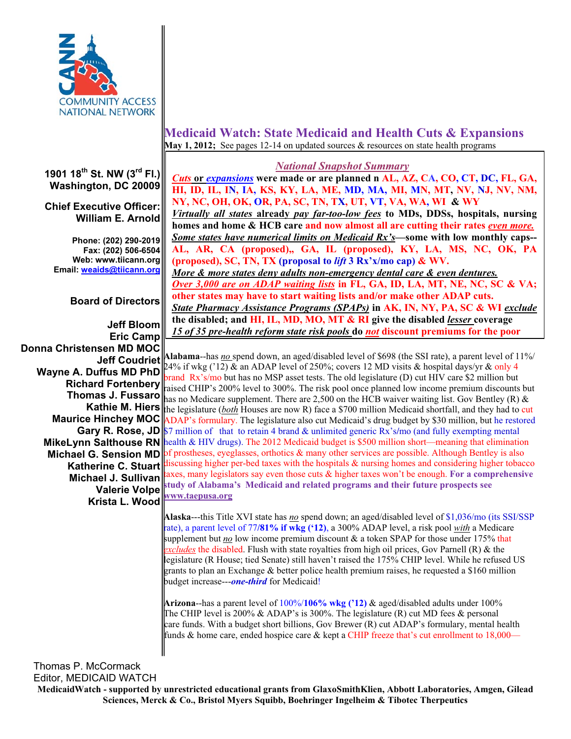

#### **1901 18th St. NW (3rd Fl.) Washington, DC 20009**

## **Chief Executive Officer: William E. Arnold**

**Phone: (202) 290-2019 Fax: (202) 506-6504 Web: www.tiicann.org Email: weaids@tiicann.org**

# **Board of Directors**

**Jeff Bloom Eric Camp Donna Christensen MD MOC Jeff Coudriet Valerie Volpe Krista L. Wood www.taepusa.org**

# **Medicaid Watch: State Medicaid and Health Cuts & Expansions May 1, 2012;** See pages 12-14 on updated sources & resources on state health programs

### *National Snapshot Summary*

*Cuts* **or** *expansions* **were made or are planned n AL, AZ, CA, CO, CT, DC, FL, GA, HI, ID, IL, IN, IA, KS, KY, LA, ME, MD, MA, MI, MN, MT, NV, NJ, NV, NM, NY, NC, OH, OK, OR, PA, SC, TN, TX, UT, VT, VA, WA, WI & WY** *Virtually all states* **already** *pay far-too-low fees* **to MDs, DDSs, hospitals, nursing homes and home & HCB care and now almost all are cutting their rates** *even more. Some states have numerical limits on Medicaid Rx's***—some with low monthly caps-- AL, AR, CA (proposed),, GA, IL (proposed), KY, LA, MS, NC, OK, PA (proposed), SC, TN, TX (proposal to** *lift* **3 Rx'x/mo cap) & WV.**  *More & more states deny adults non-emergency dental care & even dentures. Over 3,000 are on ADAP waiting lists* in FL, GA, ID, LA, MT, NE, NC, SC & VA; **other states may have to start waiting lists and/or make other ADAP cuts.**  *State Pharmacy Assistance Programs (SPAPs)* **in AK, IN, NY, PA, SC & WI** *exclude* **the disabled; and HI, IL, MD, MO, MT & RI give the disabled** *lesser* **coverage**  *15 of 35 pre-health reform state risk pools* **do** *not* **discount premiums for the poor**

**Wayne A. Duffus MD PhD**  $\begin{bmatrix} 24\% & \text{if wkg} \\ \text{area by } 24\% & \text{if wkg by } 24\% \end{bmatrix}$  an ADAP level of 250%; covers 12 MD visits & hospital days/yr & only 4 **Richard Fortenbery**  $\begin{bmatrix} \text{brand } Rx's/mo \text{ but has no MSP asset tests.} \\ \text{righted } CHP's 200\% \text{ level to } 300\% \end{bmatrix}$  The risk pool once planned low income premium discounts **Thomas J. Fussaro** has no Medicare supplement. There are 2,500 on the HCB waiver waiting list. Gov Bentley (R) & **Kathie M. Hiers** the legislature (*both* Houses are now R) face a \$700 million Medicaid shortfall, and they had to cut **Maurice Hinchey MOC** ADAP's formulary. The legislature also cut Medicaid's drug budget by \$30 million, but he restored **Gary R. Rose, JD** \$7 million of that to retain 4 brand & unlimited generic Rx's/mo (and fully exempting mental **MikeLynn Salthouse RN** health & HIV drugs). The 2012 Medicaid budget is \$500 million short—meaning that elimination **Michael G. Sension MD** of prostheses, eyeglasses, orthotics & many other services are possible. Although Bentley is also **Katherine C. Stuart** is issues in the specific taxes with the hospitals & nursing homes and considering higher tobacco **Michael J. Sullivan** axes, many legislators say even those cuts & higher taxes won't be enough. For a comprehensive **Alabama**--has *no* spend down, an aged/disabled level of \$698 (the SSI rate), a parent level of 11%/ raised CHIP's 200% level to 300%. The risk pool once planned low income premium discounts but **studies of Alabama's Medicaid and related programs and their future prospects see Valerie Volpe** 

> **Alaska**---this Title XVI state has *no* spend down; an aged/disabled level of \$1,036/mo (its SSI/SSP rate), a parent level of 77**/81% if wkg ('12)**, a 300% ADAP level, a risk pool *with* a Medicare supplement but <u>no</u> low income premium discount & a token SPAP for those under 175% that *excludes* the disabled. Flush with state royalties from high oil prices, Gov Parnell (R) & the legislature (R House; tied Senate) still haven't raised the 175% CHIP level. While he refused US grants to plan an Exchange & better police health premium raises, he requested a \$160 million budget increase---*one-third* for Medicaid!

**Arizona**--has a parent level of 100%/**106% wkg ('12)** & aged/disabled adults under 100% The CHIP level is 200% & ADAP's is 300%. The legislature  $(R)$  cut MD fees & personal care funds. With a budget short billions, Gov Brewer (R) cut ADAP's formulary, mental health funds & home care, ended hospice care & kept a CHIP freeze that's cut enrollment to  $18,000$ —

Thomas P. McCormack Editor, MEDICAID WATCH

**MedicaidWatch - supported by unrestricted educational grants from GlaxoSmithKlien, Abbott Laboratories, Amgen, Gilead Sciences, Merck & Co., Bristol Myers Squibb, Boehringer Ingelheim & Tibotec Therpeutics**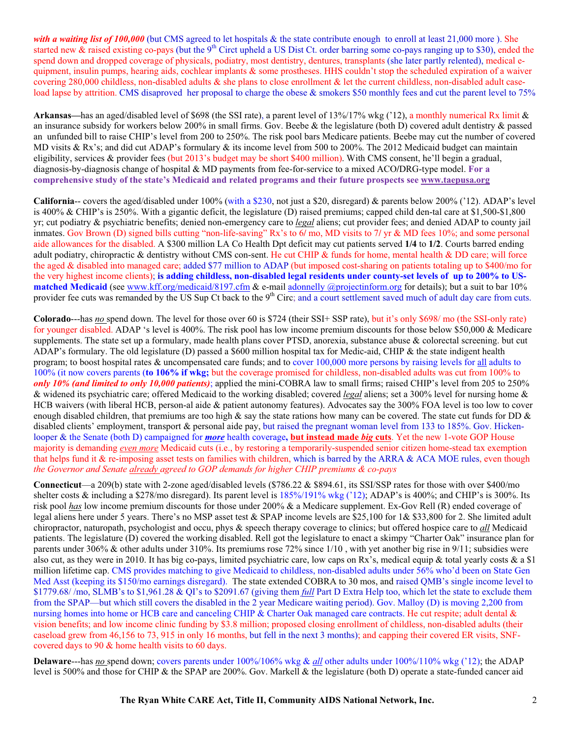with a waiting list of 100,000 (but CMS agreed to let hospitals & the state contribute enough to enroll at least 21,000 more). She started new  $&$  raised existing co-pays (but the 9<sup>th</sup> Circt upheld a US Dist Ct. order barring some co-pays ranging up to \$30), ended the spend down and dropped coverage of physicals, podiatry, most dentistry, dentures, transplants (she later partly relented), medical equipment, insulin pumps, hearing aids, cochlear implants & some prostheses. HHS couldn't stop the scheduled expiration of a waiver covering 280,000 childless, non-disabled adults  $\&$  she plans to close enrollment  $\&$  let the current childless, non-disabled adult caseload lapse by attrition. CMS disaproved her proposal to charge the obese & smokers \$50 monthly fees and cut the parent level to 75%

**Arkansas—**has an aged/disabled level of \$698 (the SSI rate), a parent level of 13%/17% wkg ('12), a monthly numerical Rx limit & an insurance subsidy for workers below 200% in small firms. Gov. Beebe & the legislature (both D) covered adult dentistry  $\&$  passed an unfunded bill to raise CHIP's level from 200 to 250%. The risk pool bars Medicare patients. Beebe may cut the number of covered MD visits & Rx's; and did cut ADAP's formulary & its income level from 500 to 200%. The 2012 Medicaid budget can maintain eligibility, services & provider fees (but 2013's budget may be short \$400 million). With CMS consent, he'll begin a gradual, diagnosis-by-diagnosis change of hospital & MD payments from fee-for-service to a mixed ACO**/**DRG-type model. **For a comprehensive study of the state's Medicaid and related programs and their future prospects see www.taepusa.org**

**California**-- covers the aged/disabled under 100% (with a \$230, not just a \$20, disregard) & parents below 200% ('12). ADAP's level is 400% & CHIP's is 250%. With a gigantic deficit, the legislature (D) raised premiums; capped child den-tal care at \$1,500-\$1,800 yr; cut podiatry & psychiatric benefits; denied non-emergency care to *legal* aliens; cut provider fees; and denied ADAP to county jail inmates. Gov Brown (D) signed bills cutting "non-life-saving" Rx's to 6**/** mo, MD visits to 7**/** yr & MD fees 10%; and some personal aide allowances for the disabled. A \$300 million LA Co Health Dpt deficit may cut patients served **1/4** to **1/2**. Courts barred ending adult podiatry, chiropractic & dentistry without CMS con-sent. He cut CHIP & funds for home, mental health & DD care; will force the aged & disabled into managed care; added \$77 million to ADAP (but imposed cost-sharing on patients totaling up to \$400/mo for the very highest income clients); **is adding childless, non-disabled legal residents under county-set levels of up to 200% to USmatched Medicaid** (see www.kff.org/medicaid/8197.cfm & e-mail adonnelly @projectinform.org for details); but a suit to bar 10% provider fee cuts was remanded by the US Sup Ct back to the 9<sup>th</sup> Circ; and a court settlement saved much of adult day care from cuts.

**Colorado**---has *no* spend down. The level for those over 60 is \$724 (their SSI+ SSP rate), but it's only \$698/ mo (the SSI-only rate) for younger disabled. ADAP 's level is 400%. The risk pool has low income premium discounts for those below \$50,000 & Medicare supplements. The state set up a formulary, made health plans cover PTSD, anorexia, substance abuse & colorectal screening, but cut ADAP's formulary. The old legislature (D) passed a \$600 million hospital tax for Medic-aid, CHIP & the state indigent health program; to boost hospital rates & uncompensated care funds; and to cover 100,000 more persons by raising levels for all adults to 100% (it now covers parents (**to 106% if wkg;** but the coverage promised for childless, non-disabled adults was cut from 100% to *only 10% (and limited to only 10,000 patients)*; applied the mini-COBRA law to small firms; raised CHIP's level from 205 to 250% & widened its psychiatric care; offered Medicaid to the working disabled; covered *legal* aliens; set a 300% level for nursing home & HCB waivers (with liberal HCB, person-al aide & patient autonomy features). Advocates say the 300% FOA level is too low to cover enough disabled children, that premiums are too high & say the state rations how many can be covered. The state cut funds for DD  $\&$ disabled clients' employment, transport & personal aide pay, but raised the pregnant woman level from 133 to 185%. Gov. Hickenlooper & the Senate (both D) campaigned for *more* health coverage**, but instead made** *big* **cuts**. Yet the new 1-vote GOP House majority is demanding *even more* Medicaid cuts (i.e., by restoring a temporarily-suspended senior citizen home-stead tax exemption that helps fund it & re-imposing asset tests on families with children, which is barred by the ARRA & ACA MOE rules, even though *the Governor and Senate already agreed to GOP demands for higher CHIP premiums & co-pays*

**Connecticut**—a 209(b) state with 2-zone aged/disabled levels (\$786.22 & \$894.61, its SSI/SSP rates for those with over \$400/mo shelter costs & including a \$278/mo disregard). Its parent level is 185%/191% wkg ('12); ADAP's is 400%; and CHIP's is 300%. Its risk pool *has* low income premium discounts for those under 200% & a Medicare supplement. Ex-Gov Rell (R) ended coverage of legal aliens here under 5 years. There's no MSP asset test & SPAP income levels are \$25,100 for 1& \$33,800 for 2. She limited adult chiropractor, naturopath, psychologist and occu, phys & speech therapy coverage to clinics; but offered hospice care to *all* Medicaid patients. The legislature (D) covered the working disabled. Rell got the legislature to enact a skimpy "Charter Oak" insurance plan for parents under 306% & other adults under 310%. Its premiums rose 72% since 1/10 , with yet another big rise in 9/11; subsidies were also cut, as they were in 2010. It has big co-pays, limited psychiatric care, low caps on Rx's, medical equip & total yearly costs & a \$1 million lifetime cap. CMS provides matching to give Medicaid to childless, non-disabled adults under 56% who'd been on State Gen Med Asst (keeping its \$150/mo earnings disregard). The state extended COBRA to 30 mos, and raised QMB's single income level to \$1779.68/ /mo, SLMB's to \$1,961.28 & QI's to \$2091.67 (giving them *full* Part D Extra Help too, which let the state to exclude them from the SPAP—but which still covers the disabled in the 2 year Medicare waiting period). Gov. Malloy (D) is moving 2,200 from nursing homes into home or HCB care and canceling CHIP & Charter Oak managed care contracts. He cut respite; adult dental & vision benefits; and low income clinic funding by \$3.8 million; proposed closing enrollment of childless, non-disabled adults (their caseload grew from 46,156 to 73, 915 in only 16 months, but fell in the next 3 months); and capping their covered ER visits, SNFcovered days to 90 & home health visits to 60 days.

**Delaware**---has *no* spend down; covers parents under 100%/106% wkg & *all* other adults under 100%/110% wkg ('12); the ADAP level is 500% and those for CHIP & the SPAP are 200%. Gov. Markell & the legislature (both D) operate a state-funded cancer aid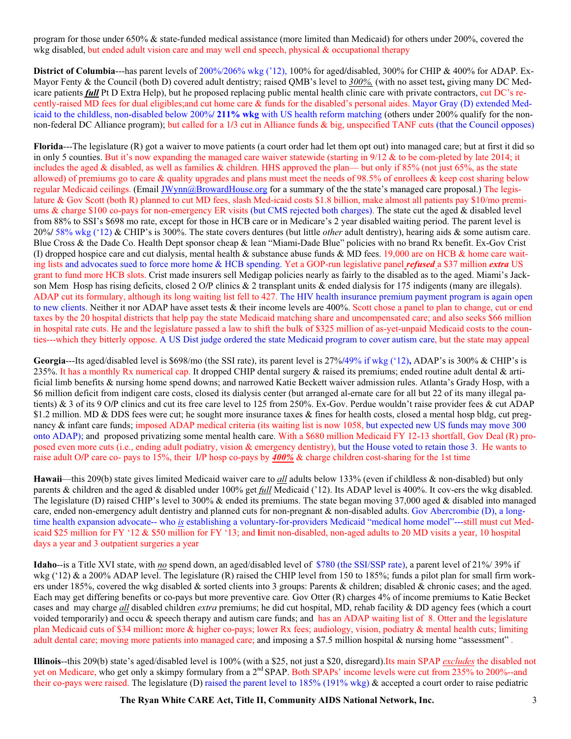program for those under 650% & state-funded medical assistance (more limited than Medicaid) for others under 200%, covered the wkg disabled, but ended adult vision care and may well end speech, physical & occupational therapy

**District of Columbia**---has parent levels of 200%/206% wkg ('12), 100% for aged**/**disabled, 300% for CHIP & 400% for ADAP. Ex-Mayor Fenty & the Council (both D) covered adult dentistry; raised QMB's level to *300%,* (with no asset test**,** giving many DC Medicare patients *full* Pt D Extra Help), but he proposed replacing public mental health clinic care with private contractors, cut DC's recently-raised MD fees for dual eligibles;and cut home care & funds for the disabled's personal aides. Mayor Gray (D) extended Medicaid to the childless, non-disabled below 200%**/ 211% wkg** with US health reform matching (others under 200% qualify for the nonnon-federal DC Alliance program); but called for a 1**/**3 cut in Alliance funds & big, unspecified TANF cuts (that the Council opposes)

**Florida**---The legislature (R) got a waiver to move patients (a court order had let them opt out) into managed care; but at first it did so in only 5 counties. But it's now expanding the managed care waiver statewide (starting in 9/12 & to be com-pleted by late 2014; it includes the aged & disabled, as well as families & children. HHS approved the plan— but only if  $85\%$  (not just 65%, as the state allowed) of premiums go to care  $\&$  quality upgrades and plans must meet the needs of 98.5% of enrollees  $\&$  keep cost sharing below regular Medicaid ceilings. (Email JWynn@BrowardHouse.org for a summary of the the state's managed care proposal.) The legislature & Gov Scott (both R) planned to cut MD fees, slash Med-icaid costs \$1.8 billion, make almost all patients pay \$10/mo premiums & charge \$100 co-pays for non-emergency ER visits (but CMS rejected both charges). The state cut the aged & disabled level from 88% to SSI's \$698 mo rate, except for those in HCB care or in Medicare's 2 year disabled waiting period. The parent level is 20%**/** 58% wkg ('12) & CHIP's is 300%. The state covers dentures (but little *other* adult dentistry), hearing aids & some autism care. Blue Cross & the Dade Co. Health Dept sponsor cheap & lean "Miami-Dade Blue" policies with no brand Rx benefit. Ex-Gov Crist (I) dropped hospice care and cut dialysis, mental health & substance abuse funds & MD fees. 19,000 are on HCB & home care waiting lists and advocates sued to force more home & HCB spending. Yet a GOP-run legislative panel *refused* a \$37 million *extra* US grant to fund more HCB slots. Crist made insurers sell Medigap policies nearly as fairly to the disabled as to the aged. Miami's Jackson Mem Hosp has rising deficits, closed 2 O**/**P clinics & 2 transplant units & ended dialysis for 175 indigents (many are illegals). ADAP cut its formulary, although its long waiting list fell to 427. The HIV health insurance premium payment program is again open to new clients. Neither it nor ADAP have asset tests & their income levels are 400%. Scott chose a panel to plan to change, cut or end taxes by the 20 hospital districts that help pay the state Medicaid matching share and uncompensated care; and also seeks \$66 million in hospital rate cuts. He and the legislature passed a law to shift the bulk of \$325 million of as-yet-unpaid Medicaid costs to the counties---which they bitterly oppose. A US Dist judge ordered the state Medicaid program to cover autism care, but the state may appeal

**Georgia**---Its aged/disabled level is \$698/mo (the SSI rate), its parent level is 27%**/**49% if wkg ('12)**,** ADAP's is 300% & CHIP's is 235%. It has a monthly Rx numerical cap. It dropped CHIP dental surgery  $\&$  raised its premiums; ended routine adult dental  $\&$  artificial limb benefits & nursing home spend downs; and narrowed Katie Beckett waiver admission rules. Atlanta's Grady Hosp, with a \$6 million deficit from indigent care costs, closed its dialysis center (but arranged al-ernate care for all but 22 of its many illegal patients) & 3 of its 9 O**/**P clinics and cut its free care level to 125 from 250%. Ex-Gov. Perdue wouldn't raise provider fees & cut ADAP \$1.2 million. MD & DDS fees were cut; he sought more insurance taxes & fines for health costs, closed a mental hosp bldg, cut pregnancy & infant care funds; imposed ADAP medical criteria (its waiting list is now 1058, but expected new US funds may move 300 onto ADAP); and proposed privatizing some mental health care. With a \$680 million Medicaid FY 12-13 shortfall, Gov Deal (R) proposed even more cuts (i.e., ending adult podiatry, vision & emergency dentistry), but the House voted to retain those 3. He wants to raise adult O**/**P care co- pays to 15%, their I**/**P hosp co-pays by *400%* & charge children cost-sharing for the 1st time

**Hawaii**—this 209(b) state gives limited Medicaid waiver care to *all* adults below 133% (even if childless & non-disabled) but only parents & children and the aged & disabled under 100% get *full* Medicaid ('12). Its ADAP level is 400%. It cov-ers the wkg disabled. The legislature (D) raised CHIP's level to 300% & ended its premiums. The state began moving 37,000 aged & disabled into managed care, ended non-emergency adult dentistry and planned cuts for non-pregnant & non-disabled adults. Gov Abercrombie (D), a longtime health expansion advocate-- who *is* establishing a voluntary-for-providers Medicaid "medical home model"---still must cut Medicaid \$25 million for FY '12 & \$50 million for FY '13; and **l**imit non-disabled, non-aged adults to 20 MD visits a year, 10 hospital days a year and 3 outpatient surgeries a year

**Idaho**--is a Title XVI state, with *no* spend down, an aged/disabled level of \$780 (the SSI/SSP rate), a parent level of 21%/ 39% if wkg ('12) & a 200% ADAP level. The legislature  $(R)$  raised the CHIP level from 150 to 185%; funds a pilot plan for small firm workers under 185%, covered the wkg disabled & sorted clients into 3 groups: Parents & children; disabled & chronic cases; and the aged. Each may get differing benefits or co-pays but more preventive care*.* Gov Otter (R) charges 4% of income premiums to Katie Becket cases and may charge *all* disabled children *extra* premiums; he did cut hospital, MD, rehab facility & DD agency fees (which a court voided temporarily) and occu & speech therapy and autism care funds; and has an ADAP waiting list of 8. Otter and the legislature plan Medicaid cuts of \$34 million**:** more & higher co-pays; lower Rx fees; audiology, vision, podiatry & mental health cuts; limiting adult dental care; moving more patients into managed care; and imposing a \$7.5 million hospital & nursing home "assessment" .

**Illinois**--this 209(b) state's aged/disabled level is 100% (with a \$25, not just a \$20, disregard).Its main SPAP *excludes* the disabled not yet on Medicare, who get only a skimpy formulary from a 2<sup>nd</sup> SPAP. Both SPAPs' income levels were cut from 235% to 200%--and their co-pays were raised. The legislature (D) raised the parent level to 185% (191% wkg) & accepted a court order to raise pediatric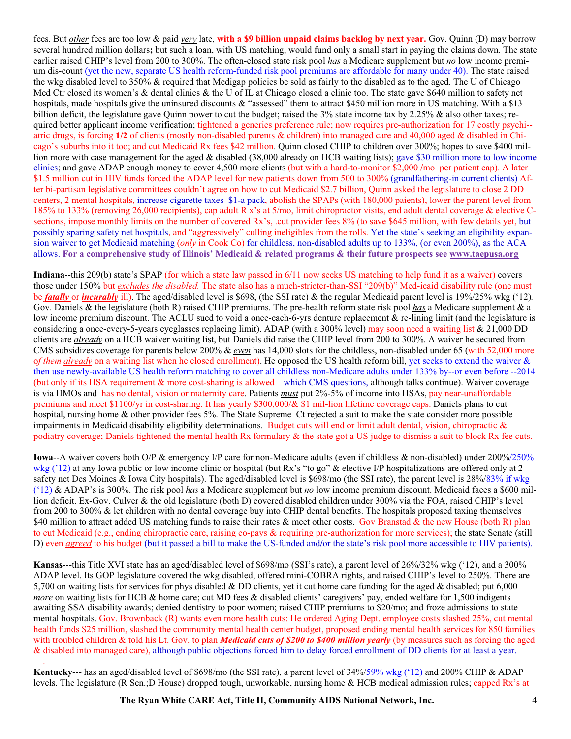fees. But *other* fees are too low & paid *very* late, **with a \$9 billion unpaid claims backlog by next year.** Gov. Quinn (D) may borrow several hundred million dollars**;** but such a loan, with US matching, would fund only a small start in paying the claims down. The state earlier raised CHIP's level from 200 to 300%. The often-closed state risk pool *has* a Medicare supplement but *no* low income premium dis-count (yet the new, separate US health reform-funded risk pool premiums are affordable for many under 40). The state raised the wkg disabled level to 350% & required that Medigap policies be sold as fairly to the disabled as to the aged. The U of Chicago Med Ctr closed its women's & dental clinics & the U of IL at Chicago closed a clinic too. The state gave \$640 million to safety net hospitals, made hospitals give the uninsured discounts & "assessed" them to attract \$450 million more in US matching. With a \$13 billion deficit, the legislature gave Quinn power to cut the budget; raised the 3% state income tax by 2.25% & also other taxes; required better applicant income verification; tightened a generics preference rule; now requires pre-authorization for 17 costly psychi-atric drugs, is forcing **1/2** of clients (mostly non-disabled parents & children) into managed care and 40,000 aged & disabled in Chicago's suburbs into it too; and cut Medicaid Rx fees \$42 million. Quinn closed CHIP to children over 300%; hopes to save \$400 million more with case management for the aged & disabled (38,000 already on HCB waiting lists); gave \$30 million more to low income clinics; and gave ADAP enough money to cover 4,500 more clients (but with a hard-to-monitor \$2,000 **/**mo per patient cap). A later \$1.5 million cut in HIV funds forced the ADAP level for new patients down from 500 to 300% (grandfathering-in current clients) After bi-partisan legislative committees couldn't agree on how to cut Medicaid \$2.7 billion, Quinn asked the legislature to close 2 DD centers, 2 mental hospitals, increase cigarette taxes \$1-a pack, abolish the SPAPs (with 180,000 paients), lower the parent level from 185% to 133% (removing 26,000 recipients), cap adult R x's at 5/mo, limit chiropractor visits, end adult dental coverage & elective Csections, impose monthly limits on the number of covered Rx's, .cut provider fees 8% (to save \$645 million, with few details yet, but possibly sparing safety net hospitals, and "aggressively" culling ineligibles from the rolls. Yet the state's seeking an eligibility expansion waiver to get Medicaid matching (*only* in Cook Co) for childless, non-disabled adults up to 133%, (or even 200%), as the ACA allows. **For a comprehensive study of Illinois' Medicaid & related programs & their future prospects see www.taepusa.org**

**Indiana**--this 209(b) state's SPAP (for which a state law passed in 6/11 now seeks US matching to help fund it as a waiver) covers those under 150% but *excludes the disabled.* The state also has a much-stricter-than-SSI "209(b)" Med-icaid disability rule (one must be *fatally* or *incurably* ill). The aged/disabled level is \$698, (the SSI rate) & the regular Medicaid parent level is 19%/25% wkg ('12)*.* Gov. Daniels & the legislature (both R) raised CHIP premiums. The pre-health reform state risk pool *has* a Medicare supplement & a low income premium discount. The ACLU sued to void a once-each-6-yrs denture replacement & re-lining limit (and the legislature is considering a once-every-5-years eyeglasses replacing limit). ADAP (with a 300% level) may soon need a waiting list & 21,000 DD clients are *already* on a HCB waiver waiting list, but Daniels did raise the CHIP level from 200 to 300%. A waiver he secured from CMS subsidizes coverage for parents below 200% & *even* has 14,000 slots for the childless, non-disabled under 65 (with 52,000 more o*f them already* on a waiting list when he closed enrollment). He opposed the US health reform bill, yet seeks to extend the waiver & then use newly-available US health reform matching to cover all childless non-Medicare adults under 133% by--or even before --2014 (but only if its HSA requirement & more cost-sharing is allowed—which CMS questions, although talks continue). Waiver coverage is via HMOs and has no dental, vision or maternity care. Patients *must* put 2%-5% of income into HSAs, pay near-unaffordable premiums and meet \$1100/yr in cost-sharing. It has yearly \$300,000/& \$1 mil-lion lifetime coverage caps. Daniels plans to cut hospital, nursing home & other provider fees 5%. The State Supreme Ct rejected a suit to make the state consider more possible impairments in Medicaid disability eligibility determinations. Budget cuts will end or limit adult dental, vision, chiropractic & podiatry coverage; Daniels tightened the mental health Rx formulary & the state got a US judge to dismiss a suit to block Rx fee cuts.

**Iowa**--A waiver covers both O/P & emergency I/P care for non-Medicare adults (even if childless & non-disabled) under 200%/250% wkg ('12) at any Iowa public or low income clinic or hospital (but Rx's "to go" & elective I/P hospitalizations are offered only at 2 safety net Des Moines & Iowa City hospitals). The aged/disabled level is \$698/mo (the SSI rate), the parent level is 28%/83% if wkg ('12) & ADAP's is 300%. The risk pool *has* a Medicare supplement but *no* low income premium discount. Medicaid faces a \$600 million deficit. Ex-Gov. Culver & the old legislature (both D) covered disabled children under 300% via the FOA, raised CHIP's level from 200 to 300% & let children with no dental coverage buy into CHIP dental benefits. The hospitals proposed taxing themselves \$40 million to attract added US matching funds to raise their rates & meet other costs. Gov Branstad & the new House (both R) plan to cut Medicaid (e.g., ending chiropractic care, raising co-pays & requiring pre-authorization for more services); the state Senate (still D) even *agreed* to his budget (but it passed a bill to make the US-funded and**/**or the state's risk pool more accessible to HIV patients).

**Kansas**---this Title XVI state has an aged/disabled level of \$698/mo (SSI's rate), a parent level of 26%/32% wkg ('12), and a 300% ADAP level. Its GOP legislature covered the wkg disabled, offered mini-COBRA rights, and raised CHIP's level to 250%. There are 5,700 on waiting lists for services for phys disabled & DD clients, yet it cut home care funding for the aged & disabled; put 6,000 *more* on waiting lists for HCB & home care; cut MD fees & disabled clients' caregivers' pay, ended welfare for 1,500 indigents awaiting SSA disability awards; denied dentistry to poor women; raised CHIP premiums to \$20/mo; and froze admissions to state mental hospitals. Gov. Brownback (R) wants even more health cuts: He ordered Aging Dept. employee costs slashed 25%, cut mental health funds \$25 million, slashed the community mental health center budget, proposed ending mental health services for 850 families with troubled children & told his Lt. Gov. to plan *Medicaid cuts of \$200 to \$400 million yearly* (by measures such as forcing the aged & disabled into managed care), although public objections forced him to delay forced enrollment of DD clients for at least a year.

**Kentucky**--- has an aged/disabled level of \$698/mo (the SSI rate), a parent level of 34%/59% wkg ('12) and 200% CHIP & ADAP levels. The legislature (R Sen.;D House) dropped tough, unworkable, nursing home & HCB medical admission rules; capped Rx's at

.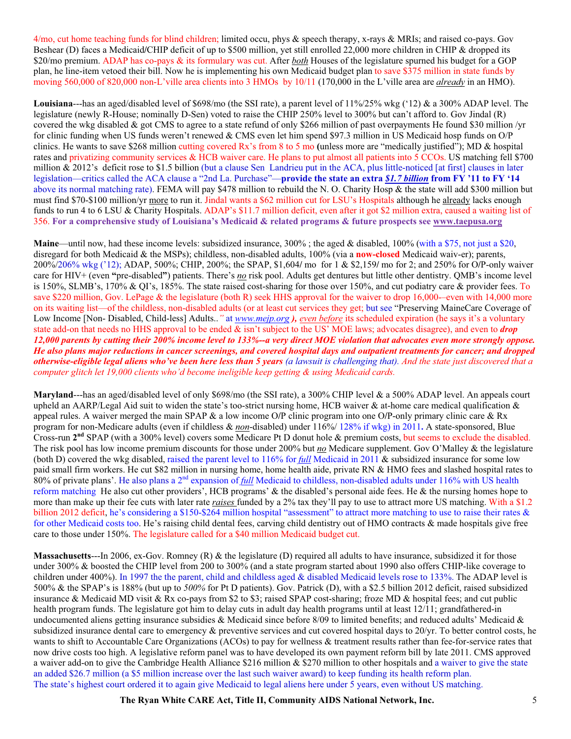4/mo, cut home teaching funds for blind children; limited occu, phys & speech therapy, x-rays & MRIs; and raised co-pays. Gov Beshear (D) faces a Medicaid**/**CHIP deficit of up to \$500 million, yet still enrolled 22,000 more children in CHIP & dropped its \$20/mo premium. ADAP has co-pays & its formulary was cut. After *both* Houses of the legislature spurned his budget for a GOP plan, he line-item vetoed their bill. Now he is implementing his own Medicaid budget plan to save \$375 million in state funds by moving 560,000 of 820,000 non-L'ville area clients into 3 HMOs by 10/11 (170,000 in the L'ville area are *already* in an HMO).

**Louisiana**---has an aged/disabled level of \$698/mo (the SSI rate), a parent level of 11%/25% wkg ('12) & a 300% ADAP level. The legislature (newly R-House; nominally D-Sen) voted to raise the CHIP 250% level to 300% but can't afford to. Gov Jindal (R) covered the wkg disabled & got CMS to agree to a state refund of only \$266 million of past overpayments He found \$30 million /yr for clinic funding when US funds weren't renewed & CMS even let him spend \$97.3 million in US Medicaid hosp funds on O/P clinics. He wants to save \$268 million cutting covered Rx's from 8 to 5 mo **(**unless more are "medically justified"); MD & hospital rates and privatizing community services & HCB waiver care. He plans to put almost all patients into 5 CCOs. US matching fell \$700 million & 2012's deficit rose to \$1.5 billion (but a clause Sen Landrieu put in the ACA, plus little-noticed [at first] clauses in later legislation—critics called the ACA clause a "2nd La. Purchase"—**provide the state an extra** *\$1.7 billion* **from FY '11 to FY '14**  above its normal matching rate). FEMA will pay \$478 million to rebuild the N. O. Charity Hosp & the state will add \$300 million but must find \$70-\$100 million/yr more to run it. Jindal wants a \$62 million cut for LSU's Hospitals although he already lacks enough funds to run 4 to 6 LSU & Charity Hospitals. ADAP's \$11.7 million deficit, even after it got \$2 million extra, caused a waiting list of 356. **For a comprehensive study of Louisiana's Medicaid & related programs & future prospects see www.taepusa.org**

**Maine—until now, had these income levels: subsidized insurance, 300%; the aged & disabled, 100% (with a \$75, not just a \$20,** disregard for both Medicaid & the MSPs); childless, non-disabled adults, 100% (via a **now-closed** Medicaid waiv-er); parents, 200%/206% wkg ('12); ADAP, 500%; CHIP, 200%; the SPAP, \$1,604**/** mo for 1 & \$2,159**/** mo for 2; and 250% for O**/**P-only waiver care for HIV+ (even **"**pre-disabled**"**) patients. There's *no* risk pool. Adults get dentures but little other dentistry. QMB's income level is 150%, SLMB's, 170% & QI's, 185%. The state raised cost-sharing for those over 150%, and cut podiatry care & provider fees. To save \$220 million, Gov. LePage & the legislature (both R) seek HHS approval for the waiver to drop 16,000--even with 14,000 more on its waiting list—of the childless, non-disabled adults (or at least cut services they get; but see "Preserving MaineCare Coverage of Low Income [Non- Disabled, Child-less] Adults..*"* at *www.mejp.org ), even before* its scheduled expiration (he says it's a voluntary state add-on that needs no HHS approval to be ended & isn't subject to the US' MOE laws; advocates disagree), and even to *drop 12,000 parents by cutting their 200% income level to 133%--a very direct MOE violation that advocates even more strongly oppose. He also plans major reductions in cancer screenings, and covered hospital days and outpatient treatments for cancer; and dropped otherwise-eligible legal aliens who've been here less than 5 years (a lawsuit is challenging that). And the state just discovered that a computer glitch let 19,000 clients who'd become ineligible keep getting & using Medicaid cards.* 

**Maryland**---has an aged/disabled level of only \$698/mo (the SSI rate), a 300% CHIP level & a 500% ADAP level. An appeals court upheld an AARP/Legal Aid suit to widen the state's too-strict nursing home, HCB waiver  $\&$  at-home care medical qualification  $\&$ appeal rules. A waiver merged the main SPAP & a low income O**/**P clinic program into one O**/**P-only primary clinic care & Rx program for non-Medicare adults (even if childless & *non*-disabled) under 116%/ 128% if wkg) in 2011**.** A state-sponsored, Blue Cross-run **2nd** SPAP (with a 300% level) covers some Medicare Pt D donut hole & premium costs, but seems to exclude the disabled. The risk pool has low income premium discounts for those under 200% but *no* Medicare supplement. Gov O'Malley & the legislature (both D) covered the wkg disabled, raised the parent level to 116% for *full* Medicaid in 2011 & subsidized insurance for some low paid small firm workers. He cut \$82 million in nursing home, home health aide, private RN & HMO fees and slashed hospital rates to 80% of private plans'. He also plans a 2nd expansion of *full* Medicaid to childless, non-disabled adults under 116% with US health reform matching He also cut other providers', HCB programs' & the disabled's personal aide fees. He & the nursing homes hope to more than make up their fee cuts with later rate *raises* funded by a 2% tax they'll pay to use to attract more US matching. With a \$1.2 billion 2012 deficit, he's considering a \$150-\$264 million hospital "assessment" to attract more matching to use to raise their rates & for other Medicaid costs too. He's raising child dental fees, carving child dentistry out of HMO contracts & made hospitals give free care to those under 150%. The legislature called for a \$40 million Medicaid budget cut.

**Massachusetts**---In 2006, ex-Gov. Romney (R) & the legislature (D) required all adults to have insurance, subsidized it for those under 300% & boosted the CHIP level from 200 to 300% (and a state program started about 1990 also offers CHIP-like coverage to children under 400%). In 1997 the the parent, child and childless aged & disabled Medicaid levels rose to 133%. The ADAP level is 500% & the SPAP's is 188% (but up to *500%* for Pt D patients). Gov. Patrick (D), with a \$2.5 billion 2012 deficit, raised subsidized insurance & Medicaid MD visit & Rx co-pays from \$2 to \$3; raised SPAP cost-sharing; froze MD & hospital fees; and cut public health program funds. The legislature got him to delay cuts in adult day health programs until at least 12/11; grandfathered-in undocumented aliens getting insurance subsidies & Medicaid since before 8/09 to limited benefits; and reduced adults' Medicaid  $\&$ subsidized insurance dental care to emergency & preventive services and cut covered hospital days to 20/yr. To better control costs, he wants to shift to Accountable Care Organizations (ACOs) to pay for wellness & treatment results rather than fee-for-service rates that now drive costs too high. A legislative reform panel was to have developed its own payment reform bill by late 2011. CMS approved a waiver add-on to give the Cambridge Health Alliance \$216 million & \$270 million to other hospitals and a waiver to give the state an added \$26.7 million (a \$5 million increase over the last such waiver award) to keep funding its health reform plan. The state's highest court ordered it to again give Medicaid to legal aliens here under 5 years, even without US matching.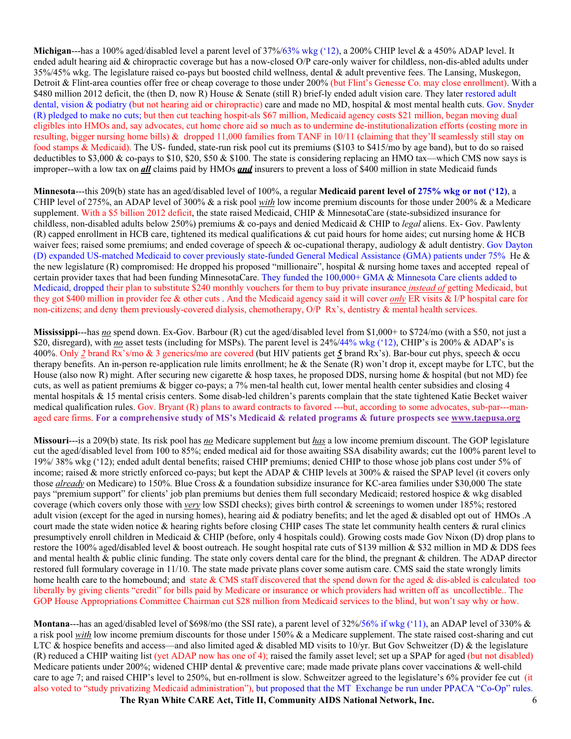**Michigan**---has a 100% aged/disabled level a parent level of 37%/63% wkg ('12), a 200% CHIP level & a 450% ADAP level. It ended adult hearing aid & chiropractic coverage but has a now-closed O/P care-only waiver for childless, non-dis-abled adults under 35%/45% wkg. The legislature raised co-pays but boosted child wellness, dental & adult preventive fees. The Lansing, Muskegon, Detroit & Flint-area counties offer free or cheap coverage to those under 200% (but Flint's Genesse Co. may close enrollment). With a \$480 million 2012 deficit, the (then D, now R) House & Senate (still R) brief-ly ended adult vision care. They later restored adult dental, vision & podiatry (but not hearing aid or chiropractic) care and made no MD, hospital & most mental health cuts. Gov. Snyder (R) pledged to make no cuts; but then cut teaching hospit-als \$67 million, Medicaid agency costs \$21 million, began moving dual eligibles into HMOs and, say advocates, cut home chore aid so much as to undermine de-institutionalization efforts (costing more in resulting, bigger nursing home bills) & dropped 11,000 families from TANF in 10/11 (claiming that they'll seamlessly still stay on food stamps & Medicaid). The US- funded, state-run risk pool cut its premiums (\$103 to \$415/mo by age band), but to do so raised deductibles to \$3,000 & co-pays to \$10, \$20, \$50 & \$100. The state is considering replacing an HMO tax—which CMS now says is improper--with a low tax on *all* claims paid by HMOs *and* insurers to prevent a loss of \$400 million in state Medicaid funds

**Minnesota**---this 209(b) state has an aged/disabled level of 100%, a regular **Medicaid parent level of 275% wkg or not ('12)**, a CHIP level of 275%, an ADAP level of 300% & a risk pool *with* low income premium discounts for those under 200% & a Medicare supplement. With a \$5 billion 2012 deficit, the state raised Medicaid, CHIP & MinnesotaCare (state-subsidized insurance for childless, non-disabled adults below 250%) premiums & co-pays and denied Medicaid & CHIP to *legal* aliens. Ex- Gov. Pawlenty (R) capped enrollment in HCB care, tightened its medical qualifications & cut paid hours for home aides; cut nursing home & HCB waiver fees; raised some premiums; and ended coverage of speech & oc-cupational therapy, audiology  $\&$  adult dentistry. Gov Dayton (D) expanded US-matched Medicaid to cover previously state-funded General Medical Assistance (GMA) patients under 75% He & the new legislature (R) compromised: He dropped his proposed "millionaire", hospital & nursing home taxes and accepted repeal of certain provider taxes that had been funding MinnesotaCare. They funded the 100,000+ GMA & Minnesota Care clients added to Medicaid, dropped their plan to substitute \$240 monthly vouchers for them to buy private insurance *instead of* getting Medicaid, but they got \$400 million in provider fee & other cuts . And the Medicaid agency said it will cover *only* ER visits & I/P hospital care for non-citizens; and deny them previously-covered dialysis, chemotherapy, O/P Rx's, dentistry & mental health services.

**Mississippi**---has *no* spend down. Ex-Gov. Barbour (R) cut the aged/disabled level from \$1,000+ to \$724/mo (with a \$50, not just a \$20, disregard), with *no* asset tests (including for MSPs). The parent level is 24%/44% wkg ('12), CHIP's is 200% & ADAP's is 400%. Only *2* brand Rx's/mo & 3 generics**/**mo are covered (but HIV patients get *5* brand Rx's). Bar-bour cut phys, speech & occu therapy benefits. An in-person re-application rule limits enrollment; he & the Senate (R) won't drop it, except maybe for LTC, but the House (also now R) might. After securing new cigarette & hosp taxes, he proposed DDS, nursing home & hospital (but not MD) fee cuts, as well as patient premiums & bigger co-pays; a 7% men-tal health cut, lower mental health center subsidies and closing 4 mental hospitals & 15 mental crisis centers. Some disab-led children's parents complain that the state tightened Katie Becket waiver medical qualification rules. Gov. Bryant (R) plans to award contracts to favored ---but, according to some advocates, sub-par---managed care firms. **For a comprehensive study of MS's Medicaid & related programs & future prospects see www.taepusa.org** 

**Missouri**---is a 209(b) state. Its risk pool has *no* Medicare supplement but *has* a low income premium discount. The GOP legislature cut the aged/disabled level from 100 to 85%; ended medical aid for those awaiting SSA disability awards; cut the 100% parent level to 19%/ 38% wkg ('12); ended adult dental benefits; raised CHIP premiums; denied CHIP to those whose job plans cost under 5% of income; raised & more strictly enforced co-pays; but kept the ADAP & CHIP levels at 300% & raised the SPAP level (it covers only those *already* on Medicare) to 150%. Blue Cross & a foundation subsidize insurance for KC-area families under \$30,000 The state pays "premium support" for clients' job plan premiums but denies them full secondary Medicaid; restored hospice & wkg disabled coverage (which covers only those with *very* low SSDI checks); gives birth control & screenings to women under 185%; restored adult vision (except for the aged in nursing homes), hearing aid & podiatry benefits; and let the aged & disabled opt out of HMOs .A court made the state widen notice  $\&$  hearing rights before closing CHIP cases The state let community health centers  $\&$  rural clinics presumptively enroll children in Medicaid & CHIP (before, only 4 hospitals could). Growing costs made Gov Nixon (D) drop plans to restore the 100% aged**/**disabled level & boost outreach. He sought hospital rate cuts of \$139 million & \$32 million in MD & DDS fees and mental health & public clinic funding. The state only covers dental care for the blind, the pregnant & children. The ADAP director restored full formulary coverage in 11/10. The state made private plans cover some autism care. CMS said the state wrongly limits home health care to the homebound; and state  $&$  CMS staff discovered that the spend down for the aged  $&$  dis-abled is calculated too liberally by giving clients "credit" for bills paid by Medicare or insurance or which providers had written off as uncollectible.. The GOP House Appropriations Committee Chairman cut \$28 million from Medicaid services to the blind, but won't say why or how.

**Montana**---has an aged/disabled level of \$698/mo (the SSI rate), a parent level of 32%/56% if wkg ('11), an ADAP level of 330% & a risk pool *with* low income premium discounts for those under 150% & a Medicare supplement. The state raised cost-sharing and cut LTC & hospice benefits and access—and also limited aged & disabled MD visits to 10/yr. But Gov Schweitzer (D) & the legislature (R) reduced a CHIP waiting list (yet ADAP now has one of 4); raised the family asset level; set up a SPAP for aged (but not disabled) Medicare patients under 200%; widened CHIP dental  $\&$  preventive care; made made private plans cover vaccinations  $\&$  well-child care to age 7; and raised CHIP's level to 250%, but en-rollment is slow. Schweitzer agreed to the legislature's 6% provider fee cut (it also voted to "study privatizing Medicaid administration"), but proposed that the MT Exchange be run under PPACA "Co-Op" rules.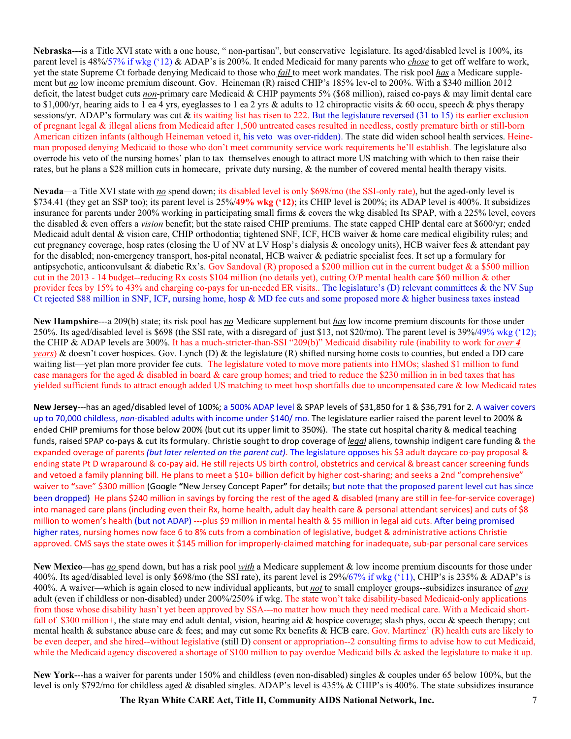**Nebraska**---is a Title XVI state with a one house, " non-partisan", but conservative legislature. Its aged/disabled level is 100%, its parent level is 48%/57% if wkg ('12) & ADAP's is 200%. It ended Medicaid for many parents who *chose* to get off welfare to work, yet the state Supreme Ct forbade denying Medicaid to those who *fail* to meet work mandates. The risk pool *has* a Medicare supplement but *no* low income premium discount. Gov. Heineman (R) raised CHIP's 185% lev-el to 200%. With a \$340 million 2012 deficit, the latest budget cuts *non*-primary care Medicaid & CHIP payments 5% (\$68 million), raised co-pays & may limit dental care to \$1,000/yr, hearing aids to 1 ea 4 yrs, eyeglasses to 1 ea 2 yrs & adults to 12 chiropractic visits & 60 occu, speech & phys therapy sessions/yr. ADAP's formulary was cut & its waiting list has risen to 222. But the legislature reversed (31 to 15) its earlier exclusion of pregnant legal & illegal aliens from Medicaid after 1,500 untreated cases resulted in needless, costly premature birth or still-born American citizen infants (although Heineman vetoed it, his veto was over-ridden). The state did widen school health services. Heineman proposed denying Medicaid to those who don't meet community service work requirements he'll establish. The legislature also overrode his veto of the nursing homes' plan to tax themselves enough to attract more US matching with which to then raise their rates, but he plans a \$28 million cuts in homecare, private duty nursing, & the number of covered mental health therapy visits.

**Nevada**—a Title XVI state with *no* spend down; its disabled level is only \$698/mo (the SSI-only rate), but the aged-only level is \$734.41 (they get an SSP too); its parent level is 25%/**49% wkg ('12)**; its CHIP level is 200%; its ADAP level is 400%. It subsidizes insurance for parents under 200% working in participating small firms & covers the wkg disabled Its SPAP, with a 225% level, covers the disabled & even offers a *vision* benefit; but the state raised CHIP premiums. The state capped CHIP dental care at \$600/yr; ended Medicaid adult dental & vision care, CHIP orthodontia; tightened SNF, ICF, HCB waiver & home care medical eligibility rules; and cut pregnancy coverage, hosp rates (closing the U of NV at LV Hosp's dialysis & oncology units), HCB waiver fees & attendant pay for the disabled; non-emergency transport, hos-pital neonatal, HCB waiver & pediatric specialist fees. It set up a formulary for antipsychotic, anticonvulsant & diabetic Rx's. Gov Sandoval (R) proposed a \$200 million cut in the current budget  $\&$  a \$500 million cut in the 2013 - 14 budget--reducing Rx costs \$104 million (no details yet), cutting O/P mental health care \$60 million & other provider fees by 15% to 43% and charging co-pays for un-needed ER visits.. The legislature's (D) relevant committees & the NV Sup Ct rejected \$88 million in SNF, ICF, nursing home, hosp & MD fee cuts and some proposed more & higher business taxes instead

**New Hampshire**---a 209(b) state; its risk pool has *no* Medicare supplement but *has* low income premium discounts for those under 250%. Its aged/disabled level is \$698 (the SSI rate, with a disregard of just \$13, not \$20/mo). The parent level is 39%/49% wkg ('12); the CHIP & ADAP levels are 300%. It has a much-stricter-than-SSI "209(b)" Medicaid disability rule (inability to work for *over 4 years*) & doesn't cover hospices. Gov. Lynch (D) & the legislature (R) shifted nursing home costs to counties, but ended a DD care waiting list—yet plan more provider fee cuts. The legislature voted to move more patients into HMOs; slashed \$1 million to fund case managers for the aged & disabled in board & care group homes; and tried to reduce the \$230 million in in bed taxes that has yielded sufficient funds to attract enough added US matching to meet hosp shortfalls due to uncompensated care & low Medicaid rates

New Jersey---has an aged/disabled level of 100%; a 500% ADAP level & SPAP levels of \$31,850 for 1 & \$36,791 for 2. A waiver covers up to 70,000 childless, non-disabled adults with income under \$140/mo. The legislature earlier raised the parent level to 200% & ended CHIP premiums for those below 200% (but cut its upper limit to 350%). The state cut hospital charity & medical teaching funds, raised SPAP co-pays & cut its formulary. Christie sought to drop coverage of <u>legal</u> aliens, township indigent care funding & the expanded overage of parents *(but later relented on the parent cut)*. The legislature opposes his \$3 adult daycare co-pay proposal & ending state Pt D wraparound & co-pay aid. He still rejects US birth control, obstetrics and cervical & breast cancer screening funds and vetoed a family planning bill. He plans to meet a \$10+ billion deficit by higher cost-sharing; and seeks a 2nd "comprehensive" waiver to "save" \$300 million (Google "New Jersey Concept Paper" for details; but note that the proposed parent level cut has since been dropped) He plans \$240 million in savings by forcing the rest of the aged & disabled (many are still in fee-for-service coverage) into managed care plans (including even their Rx, home health, adult day health care & personal attendant services) and cuts of \$8 million to women's health (but not ADAP) ---plus \$9 million in mental health & \$5 million in legal aid cuts. After being promised higher rates, nursing homes now face 6 to 8% cuts from a combination of legislative, budget & administrative actions Christie approved. CMS says the state owes it \$145 million for improperly-claimed matching for inadequate, sub-par personal care services

**New Mexico**—has *no* spend down, but has a risk pool *with* a Medicare supplement & low income premium discounts for those under 400%. Its aged/disabled level is only \$698/mo (the SSI rate), its parent level is 29%/67% if wkg ('11), CHIP's is 235% & ADAP's is 400%. A waiver—which is again closed to new individual applicants, but *not* to small employer groups--subsidizes insurance of *any* adult (even if childless or non-disabled) under 200%/250% if wkg. The state won't take disability-based Medicaid-only applications from those whose disability hasn't yet been approved by SSA---no matter how much they need medical care. With a Medicaid shortfall of \$300 million+, the state may end adult dental, vision, hearing aid & hospice coverage; slash phys, occu & speech therapy; cut mental health & substance abuse care & fees; and may cut some Rx benefits & HCB care. Gov. Martinez' (R) health cuts are likely to be even deeper, and she hired--without legislative (still D) consent or appropriation--2 consulting firms to advise how to cut Medicaid, while the Medicaid agency discovered a shortage of \$100 million to pay overdue Medicaid bills & asked the legislature to make it up.

New York---has a waiver for parents under 150% and childless (even non-disabled) singles & couples under 65 below 100%, but the level is only \$792/mo for childless aged & disabled singles. ADAP's level is 435% & CHIP's is 400%. The state subsidizes insurance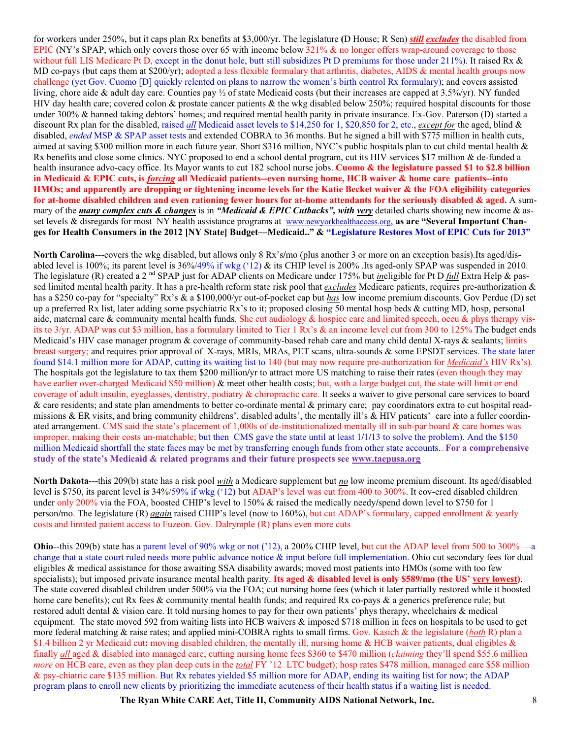for workers under 250%, but it caps plan Rx benefits at \$3,000/yr. The legislature **(**D House; R Sen) *still excludes* the disabled from EPIC (NY's SPAP, which only covers those over 65 with income below 321% & no longer offers wrap-around coverage to those without full LIS Medicare Pt D, except in the donut hole, butt still subsidizes Pt D premiums for those under 211%). It raised Rx & MD co-pays (but caps them at \$200/yr); adopted a less flexible formulary that arthritis, diabetes, AIDS & mental health groups now challenge (yet Gov. Cuomo [D] quickly relented on plans to narrow the women's birth control Rx formulary); and covers assisted living, chore aide & adult day care. Counties pay ½ of state Medicaid costs (but their increases are capped at 3.5%/yr). NY funded HIV day health care; covered colon & prostate cancer patients & the wkg disabled below 250%; required hospital discounts for those under 300% & banned taking debtors' homes; and required mental health parity in private insurance. Ex-Gov. Paterson (D) started a discount Rx plan for the disabled, raised *all* Medicaid asset levels to \$14,250 for 1, \$20,850 for 2, etc., *except for* the aged, blind & disabled, *ended* MSP & SPAP asset tests and extended COBRA to 36 months. But he signed a bill with \$775 million in health cuts, aimed at saving \$300 million more in each future year. Short \$316 million, NYC's public hospitals plan to cut child mental health & Rx benefits and close some clinics. NYC proposed to end a school dental program, cut its HIV services \$17 million & de-funded a health insurance advo-cacy office. Its Mayor wants to cut 182 school nurse jobs. **Cuomo & the legislature passed \$1 to \$2.8 billion in Medicaid & EPIC cuts, is** *forcing* **all Medicaid patients--even nursing home, HCB waiver & home care patients--into HMOs; and apparently are dropping or tightening income levels for the Katie Becket waiver & the FOA eligibility categories for at-home disabled children and even rationing fewer hours for at-home attendants for the seriously disabled & aged.** A summary of the *many complex cuts & changes* is in *"Medicaid & EPIC Cutbacks", with very* detailed charts showing new income & asset levels & disregards for most NY health assistance programs at www.newyorkhealthaccess.org, **as are "Several Important Changes for Health Consumers in the 2012 [NY State] Budget—Medicaid.." & "Legislature Restores Most of EPIC Cuts for 2013"**

**North Carolina**---covers the wkg disabled, but allows only 8 Rx's**/**mo (plus another 3 or more on an exception basis).Its aged/disabled level is 100%; its parent level is  $36\%/49\%$  if wkg ('12) & its CHIP level is 200%. Its aged-only SPAP was suspended in 2010. The legislature (R) created a 2<sup>nd</sup> SPAP just for ADAP clients on Medicare under 175% but *ineligible* for Pt D *full* Extra Help & passed limited mental health parity. It has a pre-health reform state risk pool that *excludes* Medicare patients, requires pre-authorization & has a \$250 co-pay for "specialty" Rx's & a \$100,000/yr out-of-pocket cap but *has* low income premium discounts. Gov Perdue (D) set up a preferred Rx list, later adding some psychiatric Rx's to it; proposed closing 50 mental hosp beds  $&$  cutting MD, hosp, personal aide, maternal care & community mental health funds. She cut audiology & hospice care and limited speech, occu & phys therapy visits to 3/yr. ADAP was cut \$3 million, has a formulary limited to Tier 1 Rx's & an income level cut from 300 to 125% The budget ends Medicaid's HIV case manager program & coverage of community-based rehab care and many child dental X-rays & sealants; limits breast surgery; and requires prior approval of X-rays, MRIs, MRAs, PET scans, ultra-sounds & some EPSDT services. The state later found \$14.1 million more for ADAP, cutting its waiting list to 140 (but may now require pre-authorization for *Medicaid's* HIV Rx's). The hospitals got the legislature to tax them \$200 million**/**yr to attract more US matching to raise their rates (even though they may have earlier over-charged Medicaid \$50 million) & meet other health costs; but, with a large budget cut, the state will limit or end coverage of adult insulin, eyeglasses, dentistry, podiatry & chiropractic care. It seeks a waiver to give personal care services to board & care residents; and state plan amendments to better co-ordinate mental & primary care; pay coordinators extra to cut hospital readmissions & ER visits, and bring community childrens', disabled adults', the mentally ill's & HIV patients' care into a fuller coordinated arrangement. CMS said the state's placement of 1,000s of de-institutionalized mentally ill in sub-par board & care homes was improper, making their costs un-matchable; but then CMS gave the state until at least 1**/**1**/**13 to solve the problem). And the \$150 million Medicaid shortfall the state faces may be met by transferring enough funds from other state accounts.. **For a comprehensive study of the state's Medicaid & related programs and their future prospects see www.taepusa.org**

**North Dakota**---this 209(b) state has a risk pool *with* a Medicare supplement but *no* low income premium discount. Its aged/disabled level is \$750, its parent level is 34%/59% if wkg ('12**)** but ADAP's level was cut from 400 to 300%. It cov-ered disabled children under only 200% via the FOA, boosted CHIP's level to 150% & raised the medically needy**/**spend down level to \$750 for 1 person**/**mo. The legislature (R) *again* raised CHIP's level (now to 160%), but cut ADAP's formulary, capped enrollment & yearly costs and limited patient access to Fuzeon. Gov. Dalrymple (R) plans even more cuts

**Ohio**--this 209(b) state has a parent level of 90% wkg or not ('12), a 200% CHIP level, but cut the ADAP level from 500 to 300% —a change that a state court ruled needs more public advance notice & input before full implementation. Ohio cut secondary fees for dual eligibles & medical assistance for those awaiting SSA disability awards; moved most patients into HMOs (some with too few specialists); but imposed private insurance mental health parity. **Its aged & disabled level is only \$589/mo (the US' very lowest)**. The state covered disabled children under 500% via the FOA; cut nursing home fees (which it later partially restored while it boosted home care benefits); cut Rx fees & community mental health funds; and required Rx co-pays & a generics preference rule; but restored adult dental & vision care. It told nursing homes to pay for their own patients' phys therapy, wheelchairs & medical equipment. The state moved 592 from waiting lists into HCB waivers & imposed \$718 million in fees on hospitals to be used to get more federal matching & raise rates; and applied mini-COBRA rights to small firms. Gov. Kasich & the legislature (*both* R) plan a \$1.4 billion 2 yr Medicaid cut**:** moving disabled children, the mentally ill, nursing home & HCB waiver patients, dual eligibles & finally *all* aged & disabled into managed care; cutting nursing home fees \$360 to \$470 million (*claiming* they'll spend \$55.6 million *more* on HCB care, even as they plan deep cuts in the *total* FY '12 LTC budget); hosp rates \$478 million, managed care \$58 million & psy-chiatric care \$135 million. But Rx rebates yielded \$5 million more for ADAP, ending its waiting list for now; the ADAP program plans to enroll new clients by prioritizing the immediate acuteness of their health status if a waiting list is needed.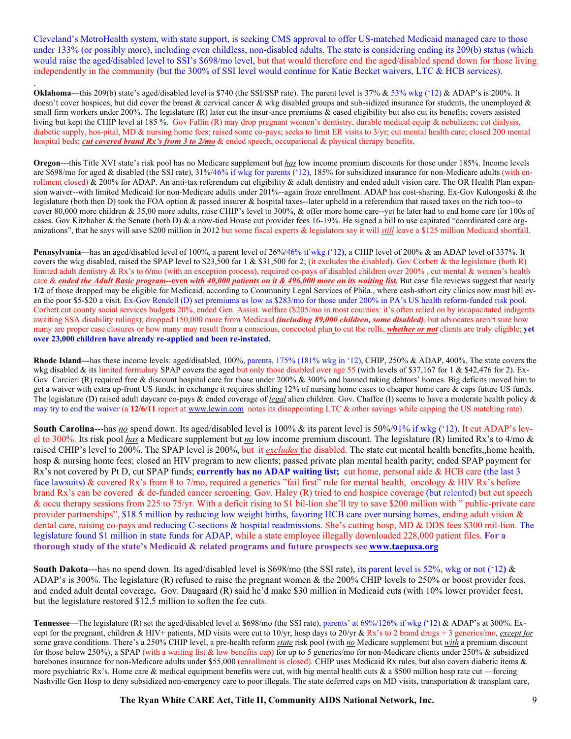Cleveland's MetroHealth system, with state support, is seeking CMS approval to offer US-matched Medicaid managed care to those under 133% (or possibly more), including even childless, non-disabled adults. The state is considering ending its 209(b) status (which would raise the aged/disabled level to SSI's \$698/mo level, but that would therefore end the aged/disabled spend down for those living independently in the community (but the 300% of SSI level would continue for Katie Becket waivers, LTC & HCB services).

. **Oklahoma---this 209(b) state's aged/disabled level is \$740 (the SSI/SSP rate). The parent level is 37% & 53% wkg ('12) & ADAP's is 200%. It** doesn't cover hospices, but did cover the breast & cervical cancer & wkg disabled groups and sub-sidized insurance for students, the unemployed & small firm workers under 200%. The legislature (R) later cut the insur-ance premiums  $\&$  eased eligibility but also cut its benefits; covers assisted living but kept the CHIP level at 185 %. Gov Fallin (R) may drop pregnant women's dentistry, durable medical equip & nebulizers; cut dialysis, diabetic supply, hos-pital, MD & nursing home fees; raised some co-pays; seeks to limit ER visits to 3/yr; cut mental health care; closed 200 mental hospital beds; *cut covered brand Rx's from 3 to 2/mo* & ended speech, occupational & physical therapy benefits.

**Oregon**---this Title XVI state's risk pool has no Medicare supplement but *has* low income premium discounts for those under 185%. Income levels are \$698/mo for aged & disabled (the SSI rate),  $31\%/46\%$  if wkg for parents ('12), 185% for subsidized insurance for non-Medicare adults (with enrollment closed) & 200% for ADAP. An anti-tax referendum cut eligibility & adult dentistry and ended adult vision care. The OR Health Plan expansion waiver--with limited Medicaid for non-Medicare adults under 201%--again froze enrollment. ADAP has cost-sharing. Ex-Gov Kulongoski & the legislature (both then D) took the FOA option & passed insurer & hospital taxes--later upheld in a referendum that raised taxes on the rich too--to cover 80,000 more children & 35,00 more adults, raise CHIP's level to 300%, & offer more home care--yet he later had to end home care for 100s of cases. Gov Kitzhaber & the Senate (both D) & a now-tied House cut provider fees 16-19%. He signed a bill to use capitated "coordinated care organizations", that he says will save \$200 million in 2012 but some fiscal experts & legislators say it will *still* leave a \$125 million Medicaid shortfall.

**Pennsylvania**---has an aged/disabled level of 100%, a parent level of 26%/46% if wkg ('12**)**, a CHIP level of 200% & an ADAP level of 337%. It covers the wkg disabled, raised the SPAP level to \$23,500 for 1 & \$31,500 for 2; (it excludes the disabled). Gov Corbett & the legislature (both R) limited adult dentistry & Rx's to 6**/**mo (with an exception process), required co-pays of disabled children over 200% , cut mental & women's health care & *ended the Adult Basic program--***even** *with 40,000 patients on it & 496,000 more on its waiting list.* But case file reviews suggest that nearly **1/2** of those dropped may be eligible for Medicaid, according to Community Legal Services of Phila., where cash-sthort city clinics now must bill even the poor \$5-\$20 a visit. Ex-Gov Rendell (D) set premiums as low as \$283/mo for those under 200% in PA's US health reform-funded risk pool. Corbett.cut county social services budgets 20%, ended Gen. Assist. welfare (\$205/mo in most counties: it's often relied on by incapacitated indigents awaiting SSA disability rulings); dropped 150,000 more from Medicaid *(including 89,000 children, some disabled)*, but advocates aren't sure how many are proper case closures or how many may result from a conscious, concocted plan to cut the rolls, *whether or not* clients are truly eligible; **yet over 23,000 children have already re-applied and been re-instated.** 

**Rhode Island**---has these income levels: aged/disabled, 100%, parents, 175% (181% wkg in '12), CHIP, 250% & ADAP, 400%. The state covers the wkg disabled & its limited formulary SPAP covers the aged but only those disabled over age 55 (with levels of \$37,167 for 1 & \$42,476 for 2). Ex-Gov Carcieri (R) required free & discount hospital care for those under 200% & 300% and banned taking debtors' homes. Big deficits moved him to get a waiver with extra up-front US funds; in exchange it requires shifting  $12\%$  of nursing home cases to cheaper home care  $\&$  caps future US funds. The legislature (D) raised adult daycare co-pays & ended coverage of *legal* alien children. Gov. Chaffee (I) seems to have a moderate health policy & may try to end the waiver (a **12/6/11** report at www.lewin.com notes its disappointing LTC & other savings while capping the US matching rate).

**South Carolina---**has *no* spend down. Its aged/disabled level is 100% & its parent level is 50%/91% if wkg ('12). It cut ADAP's level to 300%. Its risk pool *has* a Medicare supplement but *no* low income premium discount. The legislature (R) limited Rx's to 4/mo & raised CHIP's level to 200%. The SPAP level is 200%, but it *excludes* the disabled. The state cut mental health benefits,,home health, hosp & nursing home fees; closed an HIV program to new clients; passed private plan mental health parity; ended SPAP payment for Rx's not covered by Pt D, cut SPAP funds; **currently has no ADAP waiting list;** cut home, personal aide & HCB care (the last 3 face lawsuits) & covered Rx's from 8 to 7/mo, required a generics "fail first" rule for mental health, oncology & HIV Rx's before brand Rx's can be covered & de-funded cancer screening. Gov. Haley (R) tried to end hospice coverage (but relented) but cut speech & occu therapy sessions from 225 to 75/yr. With a deficit rising to \$1 bil-lion she'll try to save \$200 million with " public-private care provider partnerships", \$18.5 million by reducing low weight births, favoring HCB care over nursing homes, ending adult vision & dental care, raising co-pays and reducing C-sections & hospital readmissions. She's cutting hosp, MD & DDS fees \$300 mil-lion. The legislature found \$1 million in state funds for ADAP, while a state employee illegally downloaded 228,000 patient files. **For a thorough study of the state's Medicaid & related programs and future prospects see www.taepusa.org** 

**South Dakota**---has no spend down. Its aged/disabled level is \$698/mo (the SSI rate), its parent level is 52%, wkg or not ('12**)** & ADAP's is 300%. The legislature (R) refused to raise the pregnant women & the 200% CHIP levels to 250% or boost provider fees, and ended adult dental coverage**.** Gov. Daugaard (R) said he'd make \$30 million in Medicaid cuts (with 10% lower provider fees), but the legislature restored \$12.5 million to soften the fee cuts.

**Tennessee—The legislature (R) set the aged/disabled level at \$698/mo (the SSI rate), parents' at 69%/126% if wkg ('12) & ADAP's at 300%. Ex**cept for the pregnant, children & HIV+ patients, MD visits were cut to 10/yr, hosp days to 20/yr & Rx's to 2 brand drugs + 3 generics/mo, *except for* some grave conditions. There's a 250% CHIP level, a pre-health reform *state* risk pool (with *no* Medicare supplement but *with* a premium discount for those below 250%), a SPAP (with a waiting list & low benefits cap) for up to 5 generics/mo for non-Medicare clients under 250% & subsidized barebones insurance for non-Medicare adults under \$55,000 (enrollment is closed). CHIP uses Medicaid Rx rules, but also covers diabetic items & more psychiatric Rx's. Home care & medical equipment benefits were cut, with big mental health cuts  $\&$  a \$500 million hosp rate cut —forcing Nashville Gen Hosp to deny subsidized non-emergency care to poor illegals. The state deferred caps on MD visits, transportation & transplant care,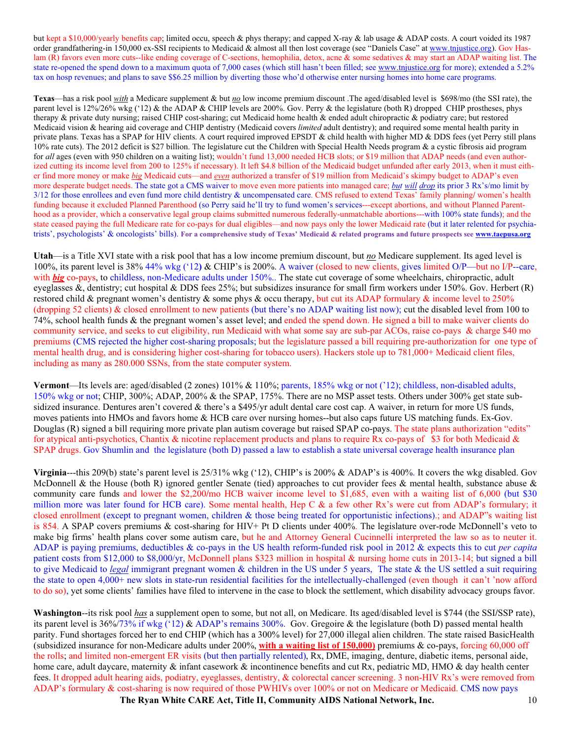but kept a \$10,000/yearly benefits cap; limited occu, speech & phys therapy; and capped X-ray & lab usage & ADAP costs. A court voided its 1987 order grandfathering-in 150,000 ex-SSI recipients to Medicaid & almost all then lost coverage (see "Daniels Case" at www.tnjustice.org). Gov Haslam (R) favors even more cuts--like ending coverage of C-sections, hemophilia, detox, acne & some sedatives & may start an ADAP waiting list. The state re-opened the spend down to a maximum quota of 7,000 cases (which still hasn't been filled; see www.tnjustice.org for more); extended a 5.2% tax on hosp revenues; and plans to save \$\$6.25 million by diverting those who'd otherwise enter nursing homes into home care programs.

**Texas**—has a risk pool *with* a Medicare supplement & but *no* low income premium discount .The aged/disabled level is \$698/mo (the SSI rate), the parent level is 12%/26% wkg ('12) & the ADAP & CHIP levels are 200%. Gov. Perry & the legislature (both R) dropped CHIP prostheses, phys therapy & private duty nursing; raised CHIP cost-sharing; cut Medicaid home health & ended adult chiropractic & podiatry care; but restored Medicaid vision & hearing aid coverage and CHIP dentistry (Medicaid covers *limited* adult dentistry); and required some mental health parity in private plans. Texas has a SPAP for HIV clients. A court required improved EPSDT & child health with higher MD & DDS fees (yet Perry still plans 10% rate cuts). The 2012 deficit is \$27 billion. The legislature cut the Children with Special Health Needs program & a cystic fibrosis aid program for *all* ages (even with 950 children on a waiting list); wouldn't fund 13,000 needed HCB slots; or \$19 million that ADAP needs (and even authorized cutting its income level from 200 to 125% if necessary). It left \$4.8 billion of the Medicaid budget unfunded after early 2013, when it must either find more money or make *big* Medicaid cuts—and *even* authorized a transfer of \$19 million from Medicaid's skimpy budget to ADAP's even more desperate budget needs. The state got a CMS waiver to move even more patients into managed care; *but will drop* its prior 3 Rx's/mo limit by 3/12 for those enrollees and even fund more child dentistry & uncompensated care. CMS refused to extend Texas' family planning**/** women's health funding because it excluded Planned Parenthood (so Perry said he'll try to fund women's services---except abortions, and without Planned Parenthood as a provider, which a conservative legal group claims submitted numerous federally-unmatchable abortions---with 100% state funds); and the state ceased paying the full Medicare rate for co-pays for dual eligibles—and now pays only the lower Medicaid rate (but it later relented for psychiatrists', psychologists' & oncologists' bills). **For a comprehensive study of Texas' Medicaid & related programs and future prospects see www.taepusa.org**

**Utah**—is a Title XVI state with a risk pool that has a low income premium discount, but *no* Medicare supplement. Its aged level is 100%, its parent level is 38%/44% wkg ('12**)** & CHIP's is 200%. A waiver (closed to new clients, gives limited O/P—but no I/P--care, with *big* co-pays, to childless, non-Medicare adults under 150%. The state cut coverage of some wheelchairs, chiropractic, adult eyeglasses &, dentistry; cut hospital & DDS fees 25%; but subsidizes insurance for small firm workers under 150%. Gov. Herbert  $(R)$ restored child & pregnant women's dentistry & some phys & occu therapy, but cut its ADAP formulary & income level to 250% (dropping 52 clients) & closed enrollment to new patients (but there's no ADAP waiting list now); cut the disabled level from 100 to 74%, school health funds & the pregnant women's asset level; and ended the spend down. He signed a bill to make waiver clients do community service, and seeks to cut eligibility, run Medicaid with what some say are sub-par ACOs, raise co-pays & charge \$40 mo premiums (CMS rejected the higher cost-sharing proposals; but the legislature passed a bill requiring pre-authorization for one type of mental health drug, and is considering higher cost-sharing for tobacco users). Hackers stole up to 781,000+ Medicaid client files, including as many as 280.000 SSNs, from the state computer system.

**Vermont**—Its levels are: aged/disabled (2 zones) 101% & 110%; parents, 185% wkg or not ('12); childless, non-disabled adults, 150% wkg or not; CHIP, 300%; ADAP, 200% & the SPAP, 175%. There are no MSP asset tests. Others under 300% get state subsidized insurance. Dentures aren't covered & there's a \$495/yr adult dental care cost cap. A waiver, in return for more US funds, moves patients into HMOs and favors home & HCB care over nursing homes--but also caps future US matching funds. Ex-Gov. Douglas (R) signed a bill requiring more private plan autism coverage but raised SPAP co-pays. The state plans authorization "edits" for atypical anti-psychotics, Chantix & nicotine replacement products and plans to require Rx co-pays of \$3 for both Medicaid  $\&$ SPAP drugs. Gov Shumlin and the legislature (both D) passed a law to establish a state universal coverage health insurance plan

**Virginia---**this 209(b) state's parent level is 25/31% wkg ('12), CHIP's is 200% & ADAP's is 400%. It covers the wkg disabled. Gov McDonnell & the House (both R) ignored gentler Senate (tied) approaches to cut provider fees & mental health, substance abuse  $\&$ community care funds and lower the \$2,200**/**mo HCB waiver income level to \$1,685, even with a waiting list of 6,000 (but \$30 million more was later found for HCB care). Some mental health, Hep C & a few other Rx's were cut from ADAP's formulary; it closed enrollment (except to pregnant women, children & those being treated for opportunistic infections).; and ADAP"s waiting list is 854. A SPAP covers premiums & cost-sharing for HIV+ Pt D clients under 400%. The legislature over-rode McDonnell's veto to make big firms' health plans cover some autism care, but he and Attorney General Cucinnelli interpreted the law so as to neuter it. ADAP is paying premiums, deductibles & co-pays in the US health reform-funded risk pool in 2012 & expects this to cut *per capita* patient costs from \$12,000 to \$8,000/yr, McDonnell plans \$323 million in hospital & nursing home cuts in 2013-14; but signed a bill to give Medicaid to *legal* immigrant pregnant women & children in the US under 5 years, The state & the US settled a suit requiring the state to open 4,000+ new slots in state-run residential facilities for the intellectually-challenged (even though it can't 'now afford to do so), yet some clients' families have filed to intervene in the case to block the settlement, which disability advocacy groups favor.

**Washington**--its risk pool *has* a supplement open to some, but not all, on Medicare. Its aged/disabled level is \$744 (the SSI**/**SSP rate), its parent level is 36%/73% if wkg ('12) & ADAP's remains 300%. Gov. Gregoire & the legislature (both D) passed mental health parity. Fund shortages forced her to end CHIP (which has a 300% level) for 27,000 illegal alien children. The state raised BasicHealth (subsidized insurance for non-Medicare adults under 200%, **with a waiting list of 150,000)** premiums & co-pays, forcing 60,000 off the rolls; and limited non-emergent ER visits (but then partially relented), Rx, DME, imaging, denture, diabetic items, personal aide, home care, adult daycare, maternity & infant casework & incontinence benefits and cut Rx, pediatric MD, HMO & day health center fees. It dropped adult hearing aids, podiatry, eyeglasses, dentistry, & colorectal cancer screening. 3 non-HIV Rx's were removed from ADAP's formulary & cost-sharing is now required of those PWHIVs over 100% or not on Medicare or Medicaid. CMS now pays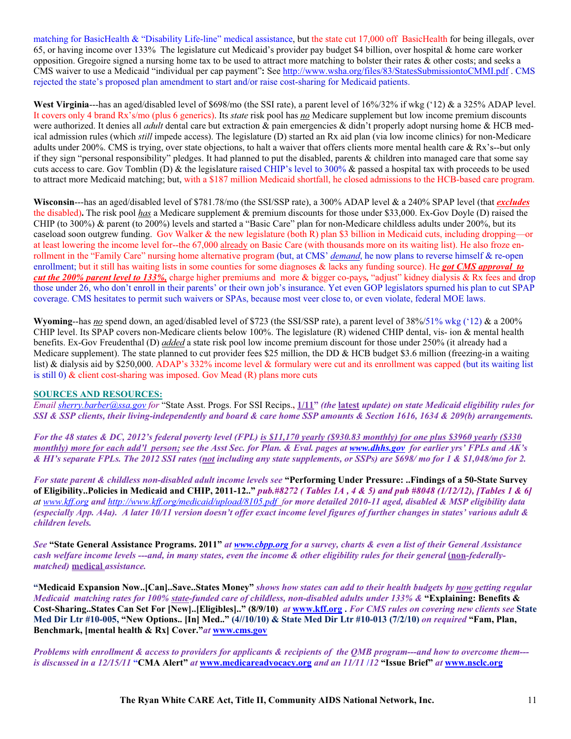matching for BasicHealth & "Disability Life-line" medical assistance, but the state cut 17,000 off BasicHealth for being illegals, over 65, or having income over 133% The legislature cut Medicaid's provider pay budget \$4 billion, over hospital & home care worker opposition. Gregoire signed a nursing home tax to be used to attract more matching to bolster their rates & other costs; and seeks a CMS waiver to use a Medicaid "individual per cap payment"**:** See http://www.wsha.org/files/83/StatesSubmissiontoCMMI.pdf . CMS rejected the state's proposed plan amendment to start and/or raise cost-sharing for Medicaid patients.

**West Virginia---has an aged/disabled level of \$698/mo (the SSI rate), a parent level of 16%/32% if wkg ('12) & a 325% ADAP level.** It covers only 4 brand Rx's/mo (plus 6 generics). Its *state* risk pool has *no* Medicare supplement but low income premium discounts were authorized. It denies all *adult* dental care but extraction & pain emergencies & didn't properly adopt nursing home & HCB medical admission rules (which *still* impede access). The legislature (D) started an Rx aid plan (via low income clinics) for non-Medicare adults under 200%. CMS is trying, over state objections, to halt a waiver that offers clients more mental health care & Rx's--but only if they sign "personal responsibility" pledges. It had planned to put the disabled, parents  $\&$  children into managed care that some say cuts access to care. Gov Tomblin (D) & the legislature raised CHIP's level to 300% & passed a hospital tax with proceeds to be used to attract more Medicaid matching; but, with a \$187 million Medicaid shortfall, he closed admissions to the HCB-based care program.

**Wisconsin**---has an aged/disabled level of \$781.78/mo (the SSI/SSP rate), a 300% ADAP level & a 240% SPAP level (that *excludes* the disabled)**.** The risk pool *has* a Medicare supplement & premium discounts for those under \$33,000. Ex-Gov Doyle (D) raised the CHIP (to 300%) & parent (to 200%) levels and started a "Basic Care" plan for non-Medicare childless adults under 200%, but its caseload soon outgrew funding. Gov Walker & the new legislature (both R) plan \$3 billion in Medicaid cuts, including dropping—or at least lowering the income level for--the 67,000 already on Basic Care (with thousands more on its waiting list). He also froze enrollment in the "Family Care" nursing home alternative program (but, at CMS' *demand*, he now plans to reverse himself & re-open enrollment; but it still has waiting lists in some counties for some diagnoses & lacks any funding source). He *got CMS approval to cut the 200% parent level to 133%,* charge higher premiums and more & bigger co-pays*,* "adjust" kidney dialysis & Rx fees and drop those under 26, who don't enroll in their parents' or their own job's insurance. Yet even GOP legislators spurned his plan to cut SPAP coverage. CMS hesitates to permit such waivers or SPAs, because most veer close to, or even violate, federal MOE laws.

**Wyoming**--has *no* spend down, an aged/disabled level of \$723 (the SSI/SSP rate), a parent level of 38%/51% wkg ('12) & a 200% CHIP level. Its SPAP covers non-Medicare clients below 100%. The legislature (R) widened CHIP dental, vis- ion & mental health benefits. Ex-Gov Freudenthal (D) *added* a state risk pool low income premium discount for those under 250% (it already had a Medicare supplement). The state planned to cut provider fees \$25 million, the DD & HCB budget \$3.6 million (freezing-in a waiting list) & dialysis aid by \$250,000. ADAP's 332% income level & formulary were cut and its enrollment was capped (but its waiting list is still 0) & client cost-sharing was imposed. Gov Mead (R) plans more cuts

#### **SOURCES AND RESOURCES:**

*Email sherry.barber@ssa.gov for* "State Asst. Progs. For SSI Recips.**, 1/11"** *(the* **latest** *update) on state Medicaid eligibility rules for SSI & SSP clients, their living-independently and board & care home SSP amounts & Section 1616, 1634 & 209(b) arrangements.* 

*For the 48 states & DC, 2012's federal poverty level (FPL) is \$11,170 yearly (\$930.83 monthly) for one plus \$3960 yearly (\$330 monthly) more for each add'l person; see the Asst Sec. for Plan. & Eval. pages at www.dhhs.gov for earlier yrs' FPLs and AK's & HI's separate FPLs. The 2012 SSI rates (not including any state supplements, or SSPs) are \$698/ mo for 1 & \$1,048/mo for 2.* 

*For state parent & childless non-disabled adult income levels see* **"Performing Under Pressure: ..Findings of a 50-State Survey of Eligibility..Policies in Medicaid and CHIP, 2011-12.."** *pub.#8272 ( Tables 1A , 4 & 5) and pub #8048 (1/12/12), [Tables 1 & 6] at www.kff.org and http://www.kff.org/medicaid/upload/8105.pdf for more detailed 2010-11 aged, disabled & MSP eligibility data (especially App. A4a). A later 10/11 version doesn't offer exact income level figures of further changes in states' various adult & children levels.* 

*See* **"State General Assistance Programs. 2011"** *at www.cbpp.org for a survey, charts & even a list of their General Assistance cash welfare income levels ---and, in many states, even the income & other eligibility rules for their general (non-federallymatched)* **medical** *assistance.* 

**"Medicaid Expansion Now..[Can]..Save..States Money"** *shows how states can add to their health budgets by now getting regular Medicaid matching rates for 100% state-funded care of childless, non-disabled adults under 133% &* **"Explaining: Benefits & Cost-Sharing..States Can Set For [New]..[Eligibles].." (8/9/10)** *at* **www.kff.org .** *For CMS rules on covering new clients see* **State Med Dir Ltr #10-005, "New Options.. [In] Med.." (4//10/10) & State Med Dir Ltr #10-013 (7/2/10)** *on required* **"Fam, Plan, Benchmark, [mental health & Rx] Cover."***at* **www.cms.gov**

*Problems with enrollment & access to providers for applicants & recipients of the QMB program---and how to overcome them-- is discussed in a 12/15/11* **"CMA Alert"** *at* **www.medicareadvocacy.org** *and an 11/11* **/***12* **"Issue Brief"** *at* **www.nsclc.org**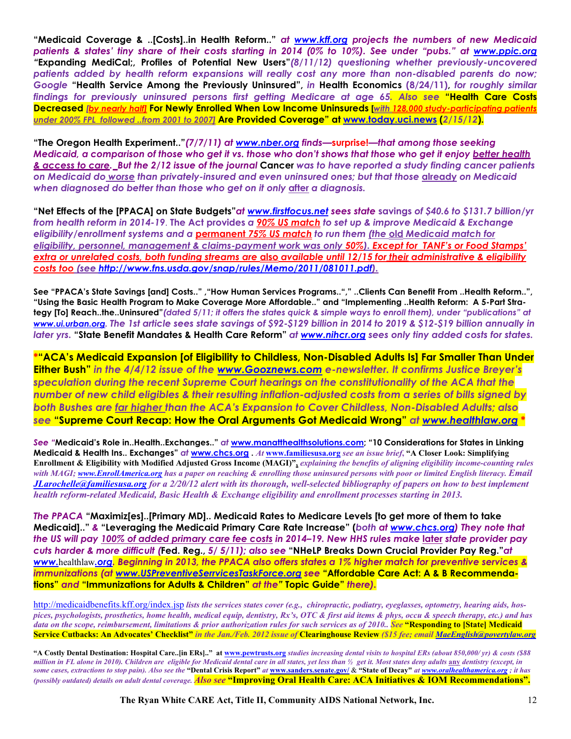**"Medicaid Coverage & ..[Costs]..in Health Reform.."** *at www.kff.org projects the numbers of new Medicaid patients & states' tiny share of their costs starting in 2014 (0% to 10%). See under "pubs." at www.ppic.org "***Expanding MediCal;, Profiles of Potential New Users"***(8/11/12) questioning whether previously-uncovered*  patients added by health reform expansions will really cost any more than non-disabled parents do now; *Google* **"Health Service Among the Previously Uninsured",** *in* **Health Economics (8/24/11),** *for roughly similar findings for previously uninsured persons first getting Medicare at age 65. Also see* **"Health Care Costs Decreased** *[by nearly half]* **For Newly Enrolled When Low Income Uninsureds [***with 128,000 study-participating patients under 200% FPL followed ..from 2001 to 2007]* **Are Provided Coverage" at www.today.uci.news (***2/15/12***).** 

**"The Oregon Health Experiment.."***(7/7/11) at www.nber.org finds—***surprise!***—that among those seeking Medicaid, a comparison of those who get it vs. those who don't shows that those who get it enjoy better health & access to care. But the 2/12 issue of the journal* **Cancer** *was to have reported a study finding cancer patients on Medicaid do worse than privately-insured and even uninsured ones; but that those* **already** *on Medicaid when diagnosed do better than those who get on it only* **after** *a diagnosis.*

**"Net Effects of the [PPACA] on State Budgets"***at www.firstfocus.net sees state* **savings** *of \$40.6 to \$131.7 billion/yr from health reform in 2014-19*. **The Act provides** *a 90% US match to set up & improve Medicaid & Exchange eligibility/enrollment systems and a* **permanent** *75% US match to run them (the* **old** *Medicaid match for eligibility, personnel, management & claims-payment work was only 50%). Except for TANF's or Food Stamps' extra or unrelated costs, both funding streams are* **also** *available until 12/15 for their administrative & eligibility costs too (see http://www.fns.usda.gov/snap/rules/Memo/2011/081011.pdf).*

**See "PPACA's State Savings [and] Costs.." ,"How Human Services Programs.."," ..Clients Can Benefit From ..Health Reform..", "Using the Basic Health Program to Make Coverage More Affordable.." and "Implementing ..Health Reform: A 5-Part Strategy [To] Reach..the..Uninsured"***(dated 5/11; it offers the states quick & simple ways to enroll them), under "publications" at www.ui.urban.org. The 1st article sees state savings of \$92-\$129 billion in 2014 to 2019 & \$12-\$19 billion annually in later yrs.* **"State Benefit Mandates & Health Care Reform"** *at www.nihcr.org sees only tiny added costs for states.* 

**\*"ACA's Medicaid Expansion [of Eligibility to Childless, Non-Disabled Adults Is] Far Smaller Than Under Either Bush"** *in the 4/4/12 issue of the www.Gooznews.com e-newsletter. It confirms Justice Breyer's speculation during the recent Supreme Court hearings on the constitutionality of the ACA that the number of new child eligibles & their resulting inflation-adjusted costs from a series of bills signed by both Bushes are far higher than the ACA's Expansion to Cover Childless, Non-Disabled Adults; also see* **"Supreme Court Recap: How the Oral Arguments Got Medicaid Wrong"** *at www.healthlaw.org* **\***

*See "***Medicaid's Role in..Health..Exchanges.."** *at* **www.manatthealthsolutions.com; "10 Considerations for States in Linking Medicaid & Health Ins.. Exchanges"** *at* **www.chcs.org .** *At* **www.familiesusa.org** *see an issue brief***, "A Closer Look: Simplifying Enrollment & Eligibility with Modified Adjusted Gross Income (MAGI)",** *explaining the benefits of aligning eligibility income-counting rules*  with MAGI; www.EnrollAmerica.org has a paper on reaching & enrolling those uninsured persons with poor or limited English literacy. Email *JLarochelle@familiesusa.org for a 2/20/12 alert with its thorough, well-selected bibliography of papers on how to best implement health reform-related Medicaid, Basic Health & Exchange eligibility and enrollment processes starting in 2013.* 

*The PPACA* **"Maximiz[es]..[Primary MD].. Medicaid Rates to Medicare Levels [to get more of them to take Medicaid].."** *&* **"Leveraging the Medicaid Primary Care Rate Increase" (***both at www.chcs.org) They note that the US will pay 100% of added primary care fee costs in 2014–19. New HHS rules make* **later** *state provider pay cuts harder & more difficult (***Fed. Reg.,** *5/ 5/11); also see* **"NHeLP Breaks Down Crucial Provider Pay Reg."***at www.*healthlaw*.org. Beginning in 2013, the PPACA also offers states a 1% higher match for preventive services & immunizations (at www.USPreventiveSerrvicesTaskForce.org see* **"Affordable Care Act: A & B Recommendations"** *and* **"Immunizations for Adults & Children"** *at the"* **Topic Guide"** *there).* 

http://medicaidbenefits.kff.org/index.jsp *lists the services states cover (e.g., chiropractic, podiatry, eyeglasses, optometry, hearing aids, hospices, psychologists, prosthetics, home health, medical equip, dentistry, Rx's, OTC & first aid items & phys, occu & speech therapy, etc.) and has*  data on the scope, reimbursement, limitations & prior authorization rules for such services as of 2010.. See "Responding to [State] Medicaid **Service Cutbacks: An Advocates' Checklist"** *in the Jan./Feb. 2012 issue of* **Clearinghouse Review** *(\$15 fee; email MaeEnglish@povertylaw.org* 

**"A Costly Dental Destination: Hospital Care..[in ERs].." at www.pewtrusts.org** *studies increasing dental visits to hospital ERs (about 850,000/ yr) & costs (\$88 million in FL alone in 2010). Children are eligible for Medicaid dental care in all states, yet less than ½ get it. Most states deny adults* **any** *dentistry (except, in some cases, extractions to stop pain). Also see the* **"Dental Crisis Report"** *at* **www.sanders.senate.gov/** & **"State of Decay"** *at www.oralhealthamerica.org ; it has (possibly outdated) details on adult dental coverage. Also see* **"Improving Oral Health Care: ACA Initiatives & IOM Recommendations".**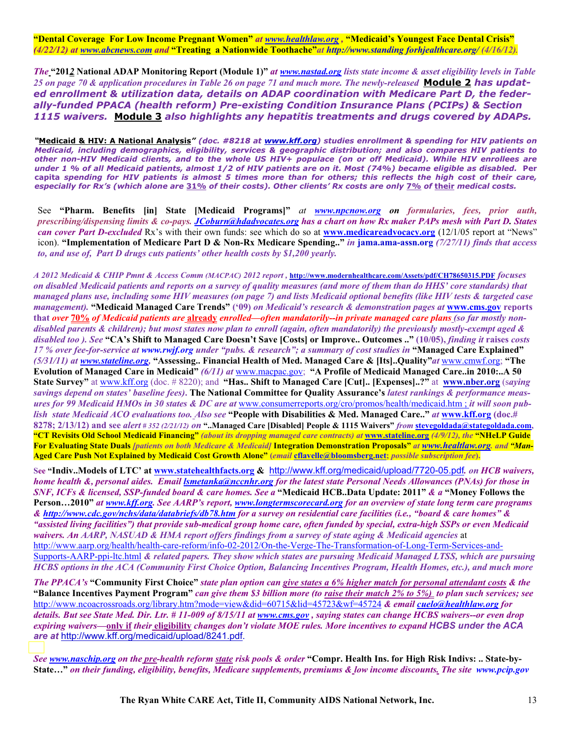**"Dental Coverage For Low Income Pregnant Women"** *at www.healthlaw.org ,* **"Medicaid's Youngest Face Dental Crisis"** *(4/22/12) at www.abcnews.com and* **"Treating a Nationwide Toothache"***at http://www.standing forhjealthcare.org/ (4/16/12).*

*The* **"201***2* **National ADAP Monitoring Report (Module 1)"** *at www.nastad.org lists state income & asset eligibility levels in Table*  25 on page 70 & application procedures in Table 26 on page 71 and much more. The newly-released **Module 2 has updat***ed enrollment & utilization data, details on ADAP coordination with Medicare Part D, the federally-funded PPACA (health reform) Pre-existing Condition Insurance Plans (PCIPs) & Section 1115 waivers.* **Module 3** *also highlights any hepatitis treatments and drugs covered by ADAPs.*

*"***Medicaid & HIV: A National Analysis***" (doc. #8218 at www.kff.org) studies enrollment & spending for HIV patients on Medicaid, including demographics, eligibility, services & geographic distribution; and also compares HIV patients to other non-HIV Medicaid clients, and to the whole US HIV+ populace (on or off Medicaid). While HIV enrollees are* under 1 % of all Medicaid patients, almost 1/2 of HIV patients are on it. Most (74%) became eligible as disabled. Per **capita** *spending for HIV patients is almost 5 times more than for others; this reflects the high cost of their care, especially for Rx's (which alone are* **31%** *of their costs). Other clients' Rx costs are only* **7%** *of* **their** *medical costs.* 

See **"Pharm. Benefits [in] State [Medicaid Programs]"** *at www.npcnow.org on formularies, fees, prior auth, prescribing/dispensing limits & co-pays. JCoburn@hdadvocates.org has a chart on how Rx maker PAPs mesh with Part D. States can cover Part D-excluded* Rx's with their own funds: see which do so at **www.medicareadvocacy.org** (12/1/05 report at "News" icon). **"Implementation of Medicare Part D & Non-Rx Medicare Spending.."** *in* **jama.ama-assn.org** *(7/27/11) finds that access to, and use of, Part D drugs cuts patients' other health costs by \$1,200 yearly.* 

*A 2012 Medicaid & CHIP Pmnt & Access Comm (MACPAC) 2012 report ,* **http://www.modernhealthcare.com/Assets/pdf/CH78650315.PDF** *focuses on disabled Medicaid patients and reports on a survey of quality measures (and more of them than do HHS' core standards) that managed plans use, including some HIV measures (on page 7) and lists Medicaid optional benefits (like HIV tests & targeted case management).* **"Medicaid Managed Care Trends" ('09)** *on Medicaid's research & demonstration pages at* **www.cms.gov reports that** *over* **70%** *of Medicaid patients are* **already** *enrolled—often mandatorily--in private managed care plans (so far mostly nondisabled parents & children); but most states now plan to enroll (again, often mandatorily) the previously mostly-exempt aged & disabled too ). See* **"CA's Shift to Managed Care Doesn't Save [Costs] or Improve.. Outcomes .." (10/05),** *finding it* **raises** *costs 17 % over fee-for-service at www.rwjf.org under "pubs. & research"; a summary of cost studies in* **"Managed Care Explained"**  *(5/31/11) at www.stateline.org,* **"Assessing.. Financial Health of Med. Managed Care & [Its]..Quality"***at* www.cmwf.org; **"The Evolution of Managed Care in Medicaid"** *(6/11) at* www.macpac.gov; **"A Profile of Medicaid Managed Care..in 2010:..A 50 State Survey"** at www.kff.org (doc. # 8220); and **"Has.. Shift to Managed Care [Cut].. [Expenses]..?"** at **www.nber.org** (s*aying savings depend on states' baseline fees)***. The National Committee for Quality Assurance's** *latest rankings & performance measures for 99 Medicaid HMOs in 30 states & DC are at* www.consumerreports.org/cro/promos/health/medicaid.htm ; *it will soon publish state Medicaid ACO evaluations too. Also see* **"People with Disabilities & Med. Managed Care.."** *at* **www.kff.org (doc.# 8278; 2/13/12) and see** *alert # 352 (2/21/12) on* **"..Managed Care [Disabled] People & 1115 Waivers"** *from* **stevegoldada@stategoldada.com, "CT Revisits Old School Medicaid Financing"** *(about its dropping managed care contracts) at* **www.stateline.org** *(4/9/12), the* **"NHeLP Guide For Evaluating State Duals** *[patients on both Medicare & Medicaid]* **Integration Demonstration Proposals"** *at www.healtlaw.org. and "Man-***Aged Care Push Not Explained by Medicaid Cost Growth Alone" (***email* **cflavelle@bloomsberg.net;** *possible subscription fee***).**

**See "Indiv..Models of LTC' at www.statehealthfacts.org &** http://www.kff.org/medicaid/upload/7720-05.pdf*. on HCB waivers, home health &, personal aides. Email lsmetanka@nccnhr.org for the latest state Personal Needs Allowances (PNAs) for those in SNF, ICFs & licensed, SSP-funded board & care homes. See a* **"Medicaid HCB..Data Update: 2011"** *& a* **"Money Follows the Person…2010"** *at www.kff.org. See AARP's report, www.longtermscorecard.org for an overview of state long term care programs & http://www.cdc.gov/nchs/data/databriefs/db78.htm for a survey on residential care facilities (i.e., "board & care homes" & "assisted living facilities") that provide sub-medical group home care, often funded by special, extra-high SSPs or even Medicaid waivers. An AARP, NASUAD & HMA report offers findings from a survey of state aging & Medicaid agencies* at http://www.aarp.org/health/health-care-reform/info-02-2012/On-the-Verge-The-Transformation-of-Long-Term-Services-and-Supports-AARP-ppi-ltc.html *& related papers. They show which states are pursuing Medicaid Managed LTSS, which are pursuing HCBS options in the ACA (Community First Choice Option, Balancing Incentives Program, Health Homes, etc.), and much more* 

*The PPACA's* **"Community First Choice"** *state plan option can give states a 6% higher match for personal attendant costs & the*  **"Balance Incentives Payment Program"** *can give them \$3 billion more (to raise their match 2% to 5%) to plan such services; see*  http://www.ncoacrossroads.org/library.htm?mode=view&did=60715&lid=45723&wf=45724 *& email cuelo@healthlaw.org for details. But see State Med. Dir. Ltr. # 11-009 of 8/15/11 at www.cms.gov , saying states can change HCBS waivers--or even drop expiring waivers—***only if** *their* **eligibility** *changes don't violate MOE rules. More incentives to expand HCBS under the ACA are at* http://www.kff.org/medicaid/upload/8241.pdf.

*See www.naschip.org on the pre-health reform state risk pools & order* **"Compr. Health Ins. for High Risk Indivs: .. State-by-State…"** *on their funding, eligibility, benefits, Medicare supplements, premiums & low income discounts. The site www.pcip.gov*